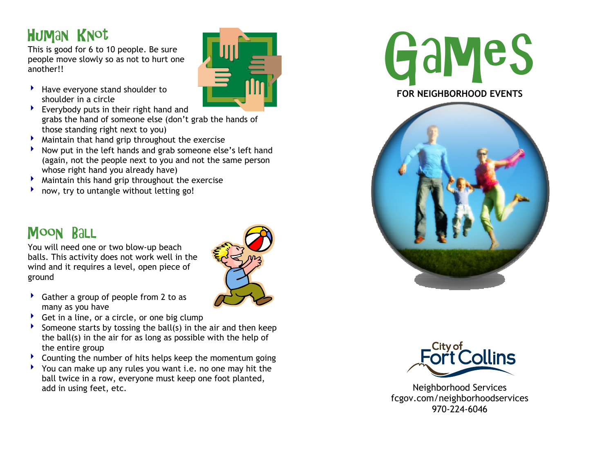# Human Knot

This is good for 6 to 10 people. Be sure people move slowly so as not to hurt one another!!

- $\blacktriangleright$  Have everyone stand shoulder to shoulder in a circle
- $\blacktriangleright$  Everybody puts in their right hand and grabs the hand of someone else (don't grab the hands of those standing right next to you)
- $\blacktriangleright$  Maintain that hand grip throughout the exercise
- $\blacktriangleright$  Now put in the left hands and grab someone else's left hand (again, not the people next to you and not the same person whose right hand you already have)
- $\blacktriangleright$  Maintain this hand grip throughout the exercise
- 4now, try to untangle without letting go!

#### Moon Ball

You will need one or two blow-up beach balls. This activity does not work well in the wind and it requires a level, open piece of ground



- $\triangleright$  Gather a group of people from 2 to as many as you have
- $\triangleright$  Get in a line, or a circle, or one big clump
- $\blacktriangleright$  Someone starts by tossing the ball(s) in the air and then keep the ball(s) in the air for as long as possible with the help of the entire group
- $\blacktriangleright$  Counting the number of hits helps keep the momentum going
- ▶ You can make up any rules you want i.e. no one may hit the ball twice in a row, everyone must keep one foot planted, add in using feet, etc.









Neighborhood Services fcgov.com/neighborhoodservices 970-224-6046